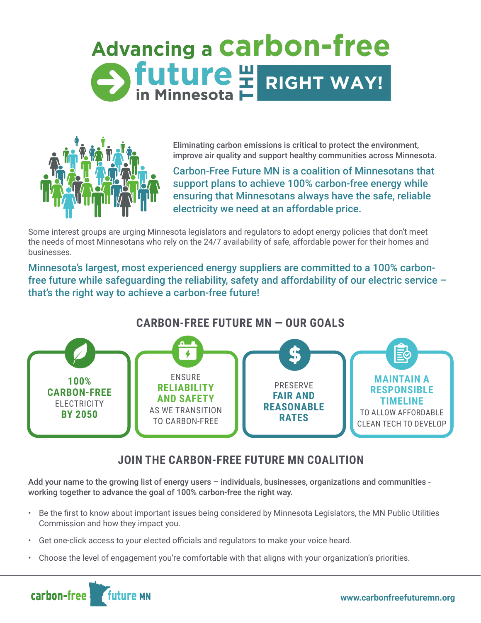# **Advancing a Carbon-free** Stuture HRIGHT WAY!



Eliminating carbon emissions is critical to protect the environment, improve air quality and support healthy communities across Minnesota.

Carbon-Free Future MN is a coalition of Minnesotans that support plans to achieve 100% carbon-free energy while ensuring that Minnesotans always have the safe, reliable electricity we need at an affordable price.

Some interest groups are urging Minnesota legislators and regulators to adopt energy policies that don't meet the needs of most Minnesotans who rely on the 24/7 availability of safe, affordable power for their homes and businesses.

Minnesota's largest, most experienced energy suppliers are committed to a 100% carbonfree future while safeguarding the reliability, safety and affordability of our electric service – that's the right way to achieve a carbon-free future!

## **CARBON-FREE FUTURE MN — OUR GOALS**



# **JOIN THE CARBON-FREE FUTURE MN COALITION**

Add your name to the growing list of energy users – individuals, businesses, organizations and communities working together to advance the goal of 100% carbon-free the right way.

- Be the first to know about important issues being considered by Minnesota Legislators, the MN Public Utilities Commission and how they impact you.
- Get one-click access to your elected officials and regulators to make your voice heard.
- Choose the level of engagement you're comfortable with that aligns with your organization's priorities.

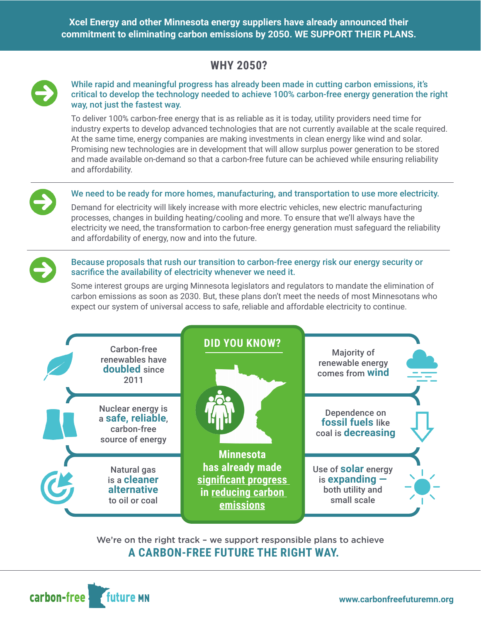**Xcel Energy and other Minnesota energy suppliers have already announced their commitment to eliminating carbon emissions by 2050. WE SUPPORT THEIR PLANS.**

# **WHY 2050?**



#### While rapid and meaningful progress has already been made in cutting carbon emissions, it's critical to develop the technology needed to achieve 100% carbon-free energy generation the right way, not just the fastest way.

To deliver 100% carbon-free energy that is as reliable as it is today, utility providers need time for industry experts to develop advanced technologies that are not currently available at the scale required. At the same time, energy companies are making investments in clean energy like wind and solar. Promising new technologies are in development that will allow surplus power generation to be stored and made available on-demand so that a carbon-free future can be achieved while ensuring reliability and affordability.



#### We need to be ready for more homes, manufacturing, and transportation to use more electricity.

Demand for electricity will likely increase with more electric vehicles, new electric manufacturing processes, changes in building heating/cooling and more. To ensure that we'll always have the electricity we need, the transformation to carbon-free energy generation must safeguard the reliability and affordability of energy, now and into the future.

#### Because proposals that rush our transition to carbon-free energy risk our energy security or sacrifice the availability of electricity whenever we need it.

Some interest groups are urging Minnesota legislators and regulators to mandate the elimination of carbon emissions as soon as 2030. But, these plans don't meet the needs of most Minnesotans who expect our system of universal access to safe, reliable and affordable electricity to continue.



We're on the right track – we support responsible plans to achieve  **A CARBON-FREE FUTURE THE RIGHT WAY.**